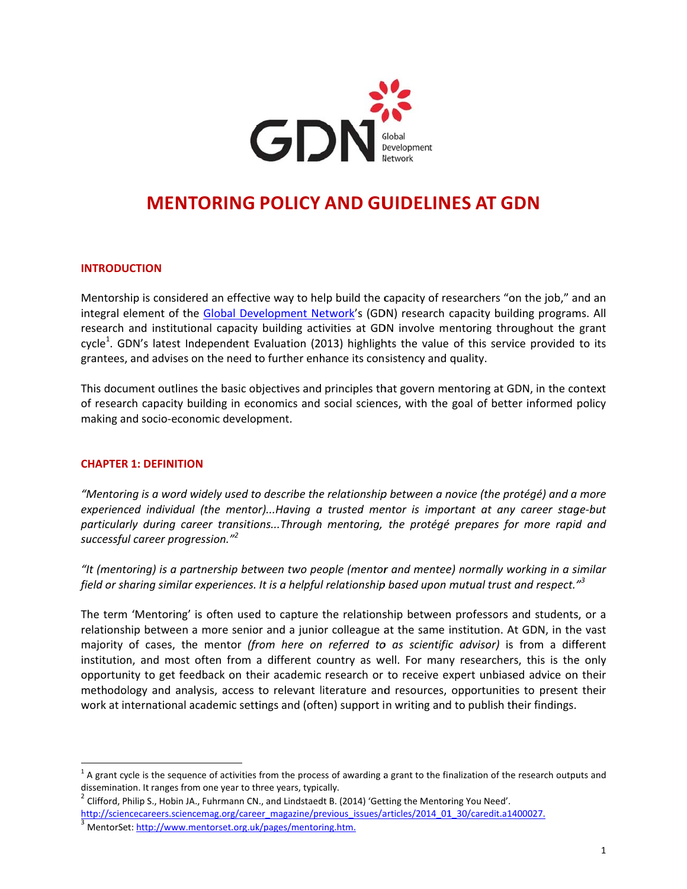

# **MENTORING POLICY AND GUIDELINES AT GDN**

## **INTRODUCTION**

Mentorship is considered an effective way to help build the capacity of researchers "on the job," and an integral element of the Global Development Network's (GDN) research capacity building programs. All research and institutional capacity building activities at GDN involve mentoring throughout the grant cycle<sup>1</sup>. GDN's latest Independent Evaluation (2013) highlights the value of this service provided to its grantees, and advises on the need to further enhance its consistency and quality.

This document outlines the basic objectives and principles that govern mentoring at GDN, in the context of research capacity building in economics and social sciences, with the goal of better informed policy making and socio-economic development.

#### **CHAPTER 1: DEFINITION**

"Mentoring is a word widely used to describe the relationship between a novice (the protégé) and a more experienced individual (the mentor)...Having a trusted mentor is important at any career stage-but particularly during career transitions...Through mentoring, the protégé prepares for more rapid and successful career progression."<sup>2</sup>

"It (mentoring) is a partnership between two people (mentor and mentee) normally working in a similar field or sharing similar experiences. It is a helpful relationship based upon mutual trust and respect."<sup>3</sup>

The term 'Mentoring' is often used to capture the relationship between professors and students, or a relationship between a more senior and a junior colleague at the same institution. At GDN, in the vast majority of cases, the mentor (from here on referred to as scientific advisor) is from a different institution, and most often from a different country as well. For many researchers, this is the only opportunity to get feedback on their academic research or to receive expert unbiased advice on their methodology and analysis, access to relevant literature and resources, opportunities to present their work at international academic settings and (often) support in writing and to publish their findings.

 $1$  A grant cycle is the sequence of activities from the process of awarding a grant to the finalization of the research outputs and dissemination. It ranges from one year to three years, typically.

 $^2$  Clifford, Philip S., Hobin JA., Fuhrmann CN., and Lindstaedt B. (2014) 'Getting the Mentoring You Need'.

http://sciencecareers.sciencemag.org/career\_magazine/previous\_issues/articles/2014\_01\_30/caredit.a1400027.

<sup>&</sup>lt;sup>3</sup> MentorSet: http://www.mentorset.org.uk/pages/mentoring.htm.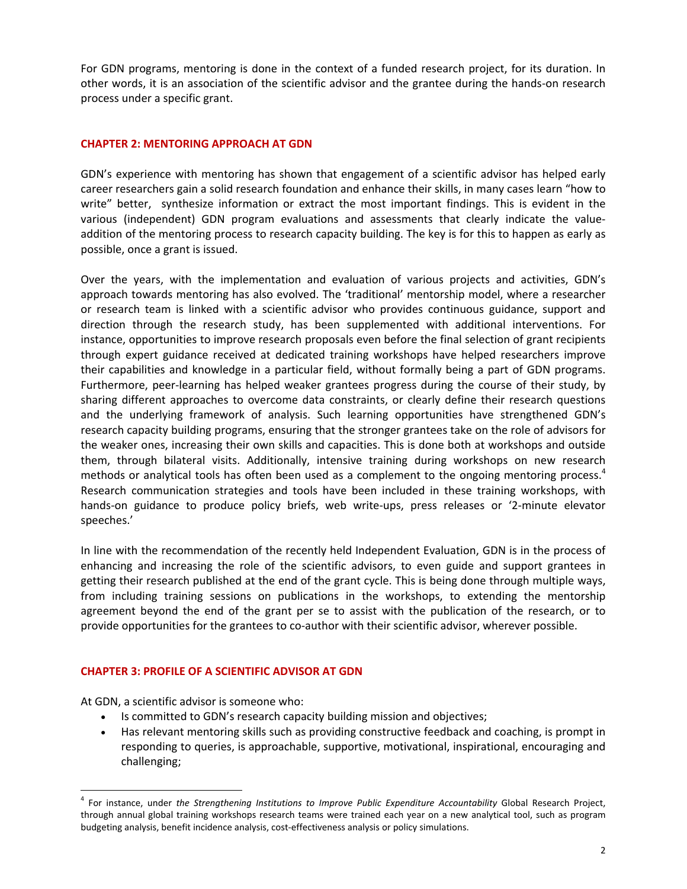For GDN programs, mentoring is done in the context of a funded research project, for its duration. In other words, it is an association of the scientific advisor and the grantee during the hands‐on research process under a specific grant.

## **CHAPTER 2: MENTORING APPROACH AT GDN**

GDN's experience with mentoring has shown that engagement of a scientific advisor has helped early career researchers gain a solid research foundation and enhance their skills, in many cases learn "how to write" better, synthesize information or extract the most important findings. This is evident in the various (independent) GDN program evaluations and assessments that clearly indicate the value‐ addition of the mentoring process to research capacity building. The key is for this to happen as early as possible, once a grant is issued.

Over the years, with the implementation and evaluation of various projects and activities, GDN's approach towards mentoring has also evolved. The 'traditional' mentorship model, where a researcher or research team is linked with a scientific advisor who provides continuous guidance, support and direction through the research study, has been supplemented with additional interventions. For instance, opportunities to improve research proposals even before the final selection of grant recipients through expert guidance received at dedicated training workshops have helped researchers improve their capabilities and knowledge in a particular field, without formally being a part of GDN programs. Furthermore, peer‐learning has helped weaker grantees progress during the course of their study, by sharing different approaches to overcome data constraints, or clearly define their research questions and the underlying framework of analysis. Such learning opportunities have strengthened GDN's research capacity building programs, ensuring that the stronger grantees take on the role of advisors for the weaker ones, increasing their own skills and capacities. This is done both at workshops and outside them, through bilateral visits. Additionally, intensive training during workshops on new research methods or analytical tools has often been used as a complement to the ongoing mentoring process.<sup>4</sup> Research communication strategies and tools have been included in these training workshops, with hands-on guidance to produce policy briefs, web write-ups, press releases or '2-minute elevator speeches.'

In line with the recommendation of the recently held Independent Evaluation, GDN is in the process of enhancing and increasing the role of the scientific advisors, to even guide and support grantees in getting their research published at the end of the grant cycle. This is being done through multiple ways, from including training sessions on publications in the workshops, to extending the mentorship agreement beyond the end of the grant per se to assist with the publication of the research, or to provide opportunities for the grantees to co-author with their scientific advisor, wherever possible.

#### **CHAPTER 3: PROFILE OF A SCIENTIFIC ADVISOR AT GDN**

At GDN, a scientific advisor is someone who:

- Is committed to GDN's research capacity building mission and objectives;
- Has relevant mentoring skills such as providing constructive feedback and coaching, is prompt in responding to queries, is approachable, supportive, motivational, inspirational, encouraging and challenging;

<sup>4</sup> For instance, under *the Strengthening Institutions to Improve Public Expenditure Accountability* Global Research Project, through annual global training workshops research teams were trained each year on a new analytical tool, such as program budgeting analysis, benefit incidence analysis, cost-effectiveness analysis or policy simulations.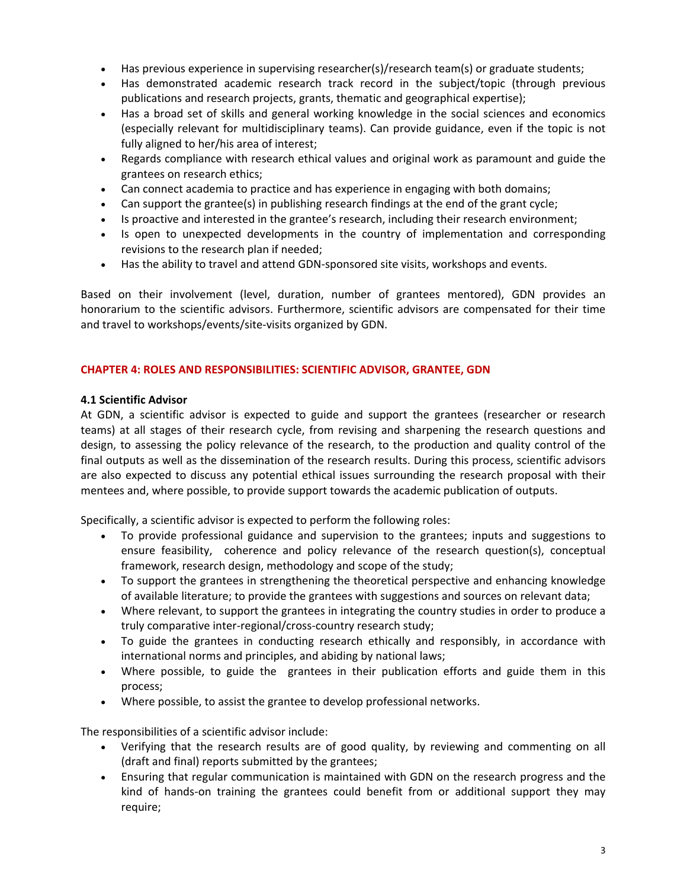- Has previous experience in supervising researcher(s)/research team(s) or graduate students;
- Has demonstrated academic research track record in the subject/topic (through previous publications and research projects, grants, thematic and geographical expertise);
- Has a broad set of skills and general working knowledge in the social sciences and economics (especially relevant for multidisciplinary teams). Can provide guidance, even if the topic is not fully aligned to her/his area of interest;
- Regards compliance with research ethical values and original work as paramount and guide the grantees on research ethics;
- Can connect academia to practice and has experience in engaging with both domains;
- Can support the grantee(s) in publishing research findings at the end of the grant cycle;
- Is proactive and interested in the grantee's research, including their research environment;
- Is open to unexpected developments in the country of implementation and corresponding revisions to the research plan if needed;
- Has the ability to travel and attend GDN‐sponsored site visits, workshops and events.

Based on their involvement (level, duration, number of grantees mentored), GDN provides an honorarium to the scientific advisors. Furthermore, scientific advisors are compensated for their time and travel to workshops/events/site‐visits organized by GDN.

## **CHAPTER 4: ROLES AND RESPONSIBILITIES: SCIENTIFIC ADVISOR, GRANTEE, GDN**

## **4.1 Scientific Advisor**

At GDN, a scientific advisor is expected to guide and support the grantees (researcher or research teams) at all stages of their research cycle, from revising and sharpening the research questions and design, to assessing the policy relevance of the research, to the production and quality control of the final outputs as well as the dissemination of the research results. During this process, scientific advisors are also expected to discuss any potential ethical issues surrounding the research proposal with their mentees and, where possible, to provide support towards the academic publication of outputs.

Specifically, a scientific advisor is expected to perform the following roles:

- To provide professional guidance and supervision to the grantees; inputs and suggestions to ensure feasibility, coherence and policy relevance of the research question(s), conceptual framework, research design, methodology and scope of the study;
- To support the grantees in strengthening the theoretical perspective and enhancing knowledge of available literature; to provide the grantees with suggestions and sources on relevant data;
- Where relevant, to support the grantees in integrating the country studies in order to produce a truly comparative inter‐regional/cross‐country research study;
- To guide the grantees in conducting research ethically and responsibly, in accordance with international norms and principles, and abiding by national laws;
- Where possible, to guide the grantees in their publication efforts and guide them in this process;
- Where possible, to assist the grantee to develop professional networks.

The responsibilities of a scientific advisor include:

- Verifying that the research results are of good quality, by reviewing and commenting on all (draft and final) reports submitted by the grantees;
- Ensuring that regular communication is maintained with GDN on the research progress and the kind of hands-on training the grantees could benefit from or additional support they may require;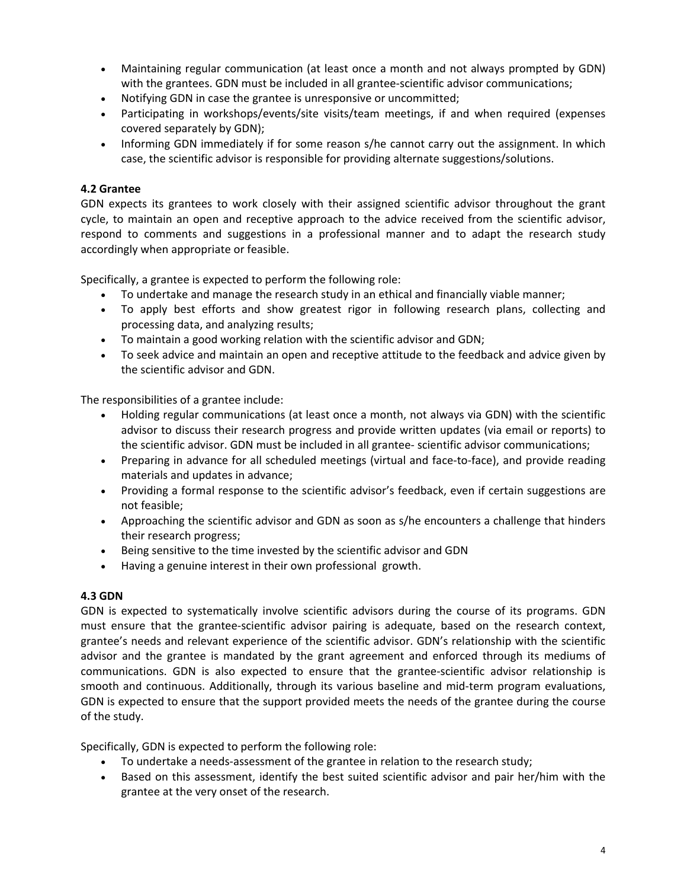- Maintaining regular communication (at least once a month and not always prompted by GDN) with the grantees. GDN must be included in all grantee-scientific advisor communications;
- Notifying GDN in case the grantee is unresponsive or uncommitted;
- Participating in workshops/events/site visits/team meetings, if and when required (expenses covered separately by GDN);
- Informing GDN immediately if for some reason s/he cannot carry out the assignment. In which case, the scientific advisor is responsible for providing alternate suggestions/solutions.

# **4.2 Grantee**

GDN expects its grantees to work closely with their assigned scientific advisor throughout the grant cycle, to maintain an open and receptive approach to the advice received from the scientific advisor, respond to comments and suggestions in a professional manner and to adapt the research study accordingly when appropriate or feasible.

Specifically, a grantee is expected to perform the following role:

- To undertake and manage the research study in an ethical and financially viable manner;
- To apply best efforts and show greatest rigor in following research plans, collecting and processing data, and analyzing results;
- To maintain a good working relation with the scientific advisor and GDN;
- To seek advice and maintain an open and receptive attitude to the feedback and advice given by the scientific advisor and GDN.

The responsibilities of a grantee include:

- Holding regular communications (at least once a month, not always via GDN) with the scientific advisor to discuss their research progress and provide written updates (via email or reports) to the scientific advisor. GDN must be included in all grantee‐ scientific advisor communications;
- Preparing in advance for all scheduled meetings (virtual and face-to-face), and provide reading materials and updates in advance;
- Providing a formal response to the scientific advisor's feedback, even if certain suggestions are not feasible;
- Approaching the scientific advisor and GDN as soon as s/he encounters a challenge that hinders their research progress;
- Being sensitive to the time invested by the scientific advisor and GDN
- Having a genuine interest in their own professional growth.

# **4.3 GDN**

GDN is expected to systematically involve scientific advisors during the course of its programs. GDN must ensure that the grantee‐scientific advisor pairing is adequate, based on the research context, grantee's needs and relevant experience of the scientific advisor. GDN's relationship with the scientific advisor and the grantee is mandated by the grant agreement and enforced through its mediums of communications. GDN is also expected to ensure that the grantee‐scientific advisor relationship is smooth and continuous. Additionally, through its various baseline and mid-term program evaluations, GDN is expected to ensure that the support provided meets the needs of the grantee during the course of the study.

Specifically, GDN is expected to perform the following role:

- To undertake a needs‐assessment of the grantee in relation to the research study;
- Based on this assessment, identify the best suited scientific advisor and pair her/him with the grantee at the very onset of the research.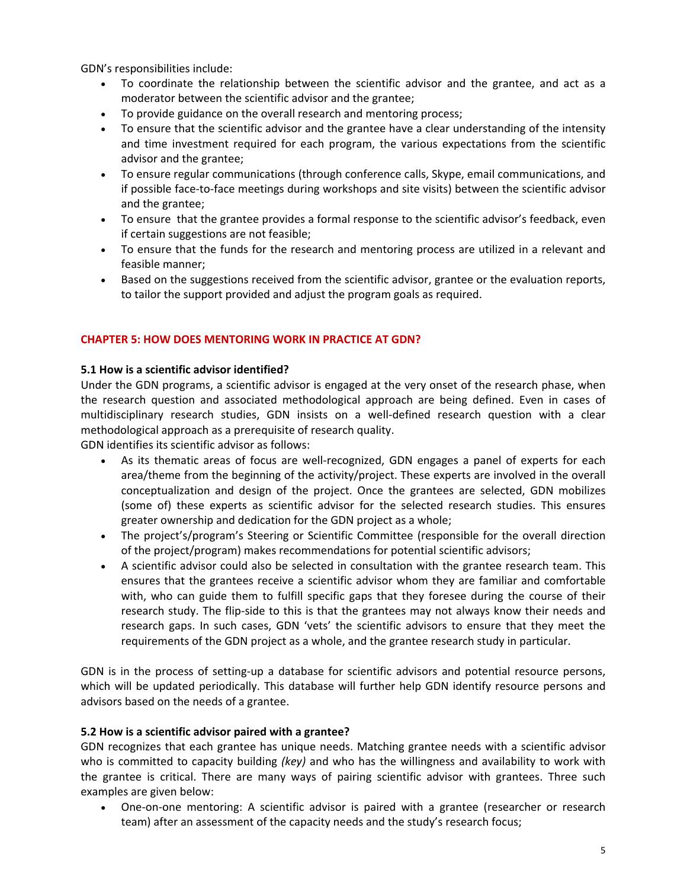GDN's responsibilities include:

- To coordinate the relationship between the scientific advisor and the grantee, and act as a moderator between the scientific advisor and the grantee;
- To provide guidance on the overall research and mentoring process;
- To ensure that the scientific advisor and the grantee have a clear understanding of the intensity and time investment required for each program, the various expectations from the scientific advisor and the grantee;
- To ensure regular communications (through conference calls, Skype, email communications, and if possible face‐to‐face meetings during workshops and site visits) between the scientific advisor and the grantee;
- To ensure that the grantee provides a formal response to the scientific advisor's feedback, even if certain suggestions are not feasible;
- To ensure that the funds for the research and mentoring process are utilized in a relevant and feasible manner;
- Based on the suggestions received from the scientific advisor, grantee or the evaluation reports, to tailor the support provided and adjust the program goals as required.

# **CHAPTER 5: HOW DOES MENTORING WORK IN PRACTICE AT GDN?**

## **5.1 How is a scientific advisor identified?**

Under the GDN programs, a scientific advisor is engaged at the very onset of the research phase, when the research question and associated methodological approach are being defined. Even in cases of multidisciplinary research studies, GDN insists on a well‐defined research question with a clear methodological approach as a prerequisite of research quality.

GDN identifies its scientific advisor as follows:

- As its thematic areas of focus are well-recognized, GDN engages a panel of experts for each area/theme from the beginning of the activity/project. These experts are involved in the overall conceptualization and design of the project. Once the grantees are selected, GDN mobilizes (some of) these experts as scientific advisor for the selected research studies. This ensures greater ownership and dedication for the GDN project as a whole;
- The project's/program's Steering or Scientific Committee (responsible for the overall direction of the project/program) makes recommendations for potential scientific advisors;
- A scientific advisor could also be selected in consultation with the grantee research team. This ensures that the grantees receive a scientific advisor whom they are familiar and comfortable with, who can guide them to fulfill specific gaps that they foresee during the course of their research study. The flip-side to this is that the grantees may not always know their needs and research gaps. In such cases, GDN 'vets' the scientific advisors to ensure that they meet the requirements of the GDN project as a whole, and the grantee research study in particular.

GDN is in the process of setting-up a database for scientific advisors and potential resource persons, which will be updated periodically. This database will further help GDN identify resource persons and advisors based on the needs of a grantee.

## **5.2 How is a scientific advisor paired with a grantee?**

GDN recognizes that each grantee has unique needs. Matching grantee needs with a scientific advisor who is committed to capacity building *(key)* and who has the willingness and availability to work with the grantee is critical. There are many ways of pairing scientific advisor with grantees. Three such examples are given below:

• One-on-one mentoring: A scientific advisor is paired with a grantee (researcher or research team) after an assessment of the capacity needs and the study's research focus;